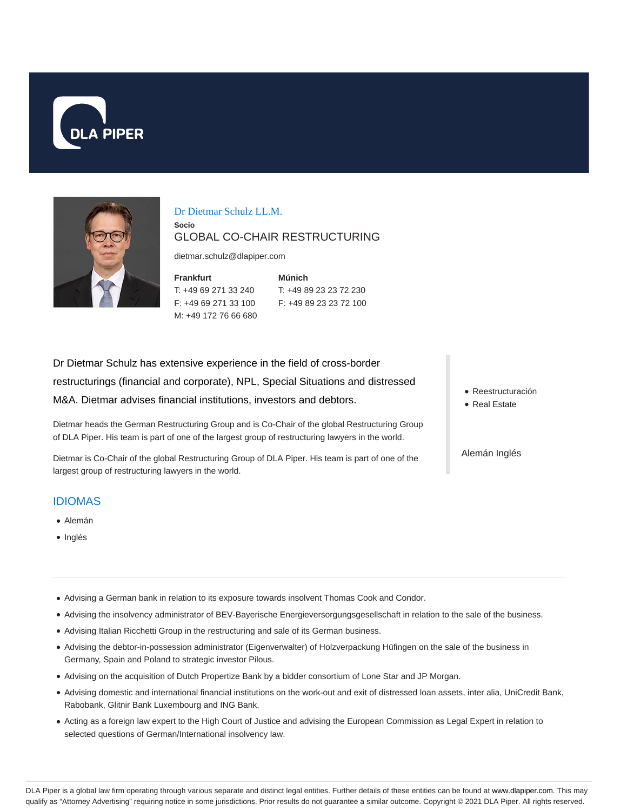



#### Dr Dietmar Schulz LL.M.

## GLOBAL CO-CHAIR RESTRUCTURING

dietmar.schulz@dlapiper.com

**Frankfurt** T: +49 69 271 33 240 F: +49 69 271 33 100 M: +49 172 76 66 680

**Socio**

**Múnich** T: +49 89 23 23 72 230 F: +49 89 23 23 72 100

Dr Dietmar Schulz has extensive experience in the field of cross-border restructurings (financial and corporate), NPL, Special Situations and distressed M&A. Dietmar advises financial institutions, investors and debtors.

Dietmar heads the German Restructuring Group and is Co-Chair of the global Restructuring Group of DLA Piper. His team is part of one of the largest group of restructuring lawyers in the world.

Dietmar is Co-Chair of the global Restructuring Group of DLA Piper. His team is part of one of the largest group of restructuring lawyers in the world.

#### IDIOMAS

- Alemán
- Inglés
- Reestructuración
- **Real Estate**

Alemán Inglés

- Advising a German bank in relation to its exposure towards insolvent Thomas Cook and Condor.
- Advising the insolvency administrator of BEV-Bayerische Energieversorgungsgesellschaft in relation to the sale of the business.
- Advising Italian Ricchetti Group in the restructuring and sale of its German business.
- Advising the debtor-in-possession administrator (Eigenverwalter) of Holzverpackung Hüfingen on the sale of the business in Germany, Spain and Poland to strategic investor Pilous.
- Advising on the acquisition of Dutch Propertize Bank by a bidder consortium of Lone Star and JP Morgan.
- Advising domestic and international financial institutions on the work-out and exit of distressed loan assets, inter alia, UniCredit Bank, Rabobank, Glitnir Bank Luxembourg and ING Bank.
- Acting as a foreign law expert to the High Court of Justice and advising the European Commission as Legal Expert in relation to selected questions of German/International insolvency law.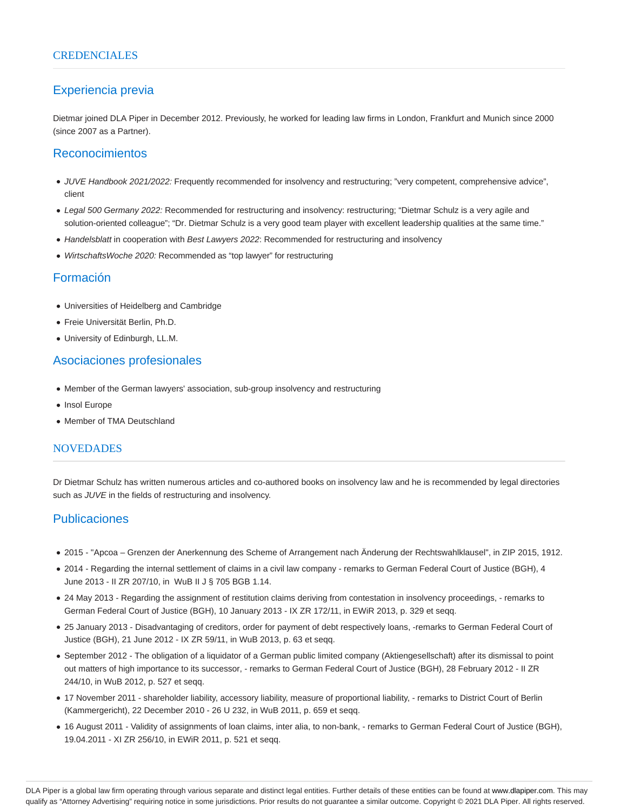# Experiencia previa

Dietmar joined DLA Piper in December 2012. Previously, he worked for leading law firms in London, Frankfurt and Munich since 2000 (since 2007 as a Partner).

#### Reconocimientos

- JUVE Handbook 2021/2022: Frequently recommended for insolvency and restructuring; "very competent, comprehensive advice", client
- Legal 500 Germany 2022: Recommended for restructuring and insolvency: restructuring; "Dietmar Schulz is a very agile and solution-oriented colleague"; "Dr. Dietmar Schulz is a very good team player with excellent leadership qualities at the same time."
- Handelsblatt in cooperation with Best Lawyers 2022: Recommended for restructuring and insolvency
- WirtschaftsWoche 2020: Recommended as "top lawyer" for restructuring

# Formación

- Universities of Heidelberg and Cambridge
- Freie Universität Berlin, Ph.D.
- University of Edinburgh, LL.M.

## Asociaciones profesionales

- Member of the German lawyers' association, sub-group insolvency and restructuring
- Insol Europe
- Member of TMA Deutschland

#### NOVEDADES

Dr Dietmar Schulz has written numerous articles and co-authored books on insolvency law and he is recommended by legal directories such as JUVE in the fields of restructuring and insolvency.

## Publicaciones

- 2015 "Apcoa Grenzen der Anerkennung des Scheme of Arrangement nach Änderung der Rechtswahlklausel", in ZIP 2015, 1912.
- 2014 Regarding the internal settlement of claims in a civil law company remarks to German Federal Court of Justice (BGH), 4 June 2013 - II ZR 207/10, in WuB II J § 705 BGB 1.14.
- 24 May 2013 Regarding the assignment of restitution claims deriving from contestation in insolvency proceedings, remarks to German Federal Court of Justice (BGH), 10 January 2013 - IX ZR 172/11, in EWiR 2013, p. 329 et seqq.
- 25 January 2013 Disadvantaging of creditors, order for payment of debt respectively loans, -remarks to German Federal Court of Justice (BGH), 21 June 2012 - IX ZR 59/11, in WuB 2013, p. 63 et seqq.
- September 2012 The obligation of a liquidator of a German public limited company (Aktiengesellschaft) after its dismissal to point out matters of high importance to its successor, - remarks to German Federal Court of Justice (BGH), 28 February 2012 - II ZR 244/10, in WuB 2012, p. 527 et seqq.
- 17 November 2011 shareholder liability, accessory liability, measure of proportional liability, remarks to District Court of Berlin (Kammergericht), 22 December 2010 - 26 U 232, in WuB 2011, p. 659 et seqq.
- 16 August 2011 Validity of assignments of loan claims, inter alia, to non-bank, remarks to German Federal Court of Justice (BGH), 19.04.2011 - XI ZR 256/10, in EWiR 2011, p. 521 et seqq.